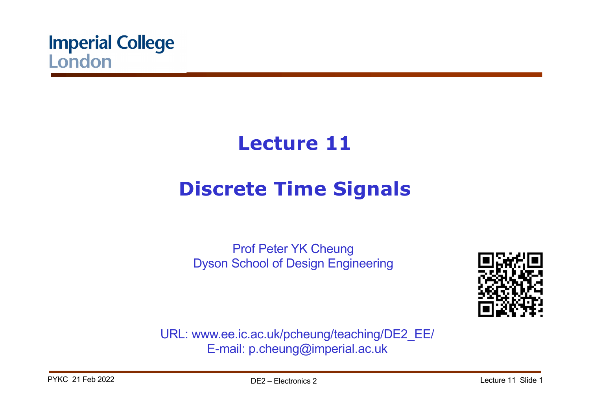

# **Lecture 11**

# **Discrete Time Signals**

Prof Peter YK Cheung Dyson School of Design Engineering



URL: www.ee.ic.ac.uk/pcheung/teaching/DE2\_EE/ E-mail: p.cheung@imperial.ac.uk

PYKC 21 Feb 2022 **DE2** – Flectronics 2 Lecture 11 Slide 1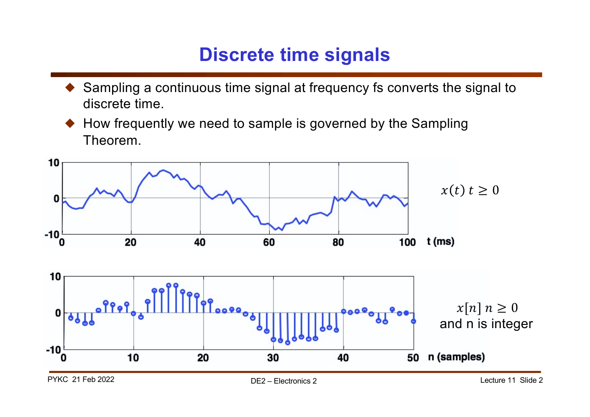# **Discrete time signals**

- Sampling a continuous time signal at frequency fs converts the signal to discrete time.
- How frequently we need to sample is governed by the Sampling Theorem.

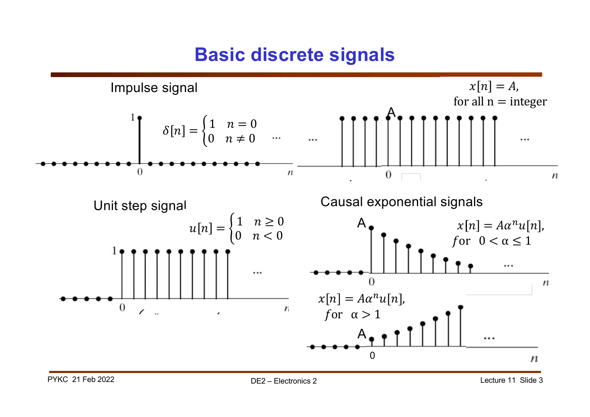### **Basic discrete signals**

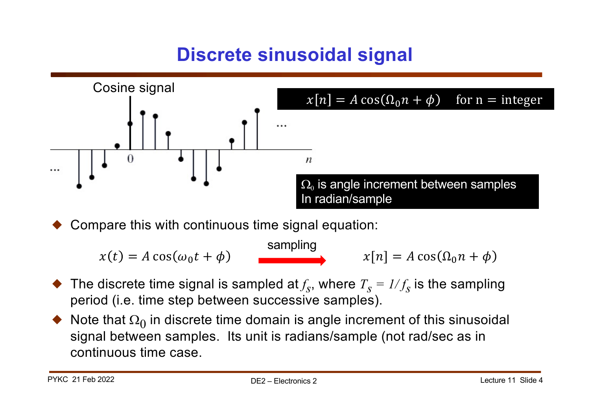# **Discrete sinusoidal signal**



Compare this with continuous time signal equation:

 $x[n] = A \cos(\Omega_0 n + \phi)$  $x(t) = A \cos(\omega_0 t + \phi)$  sampling

- $\blacklozenge$  The discrete time signal is sampled at  $f_s$ , where  $T_s = 1/f_s$  is the sampling period (i.e. time step between successive samples).
- $\blacklozenge$  Note that  $\Omega_0$  in discrete time domain is angle increment of this sinusoidal signal between samples. Its unit is radians/sample (not rad/sec as in continuous time case.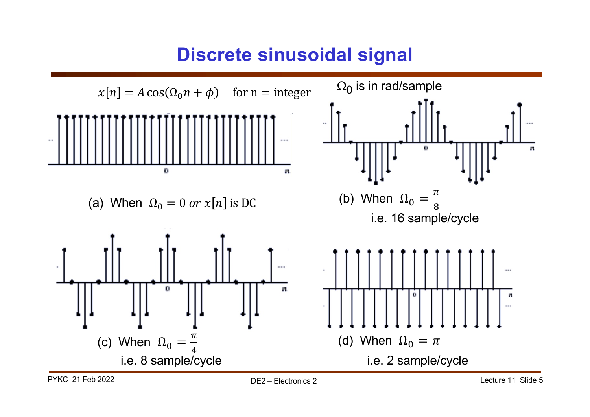### **Discrete sinusoidal signal**

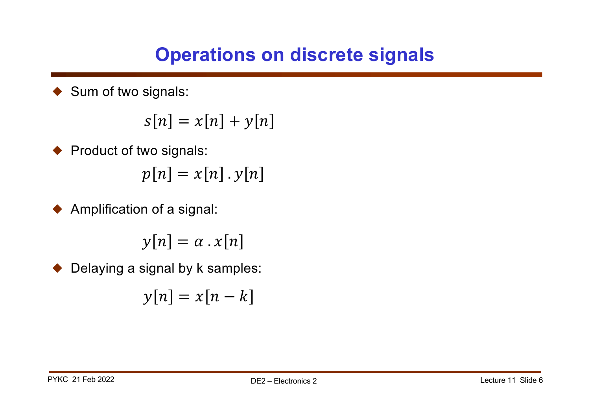# **Operations on discrete signals**

Sum of two signals:

$$
s[n] = x[n] + y[n]
$$

◆ Product of two signals:  $p[n] = x[n] \cdot y[n]$ 

 $\blacklozenge$  Amplification of a signal:

 $y[n] = \alpha \cdot x[n]$ 

Delaying a signal by k samples:

$$
y[n] = x[n-k]
$$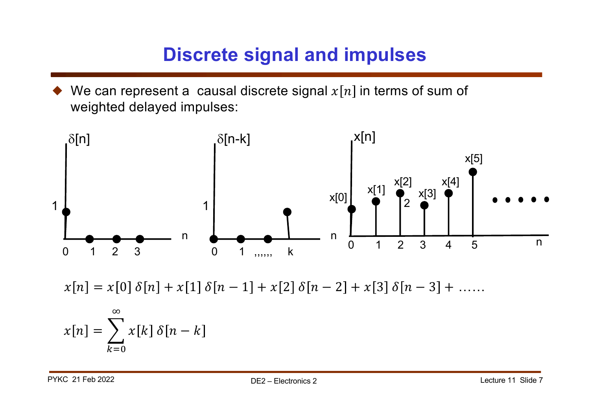## **Discrete signal and impulses**

We can represent a causal discrete signal  $x[n]$  in terms of sum of weighted delayed impulses:



 $x[n] = x[0] \delta[n] + x[1] \delta[n-1] + x[2] \delta[n-2] + x[3] \delta[n-3] + \ldots$ 

$$
x[n] = \sum_{k=0}^{\infty} x[k] \delta[n-k]
$$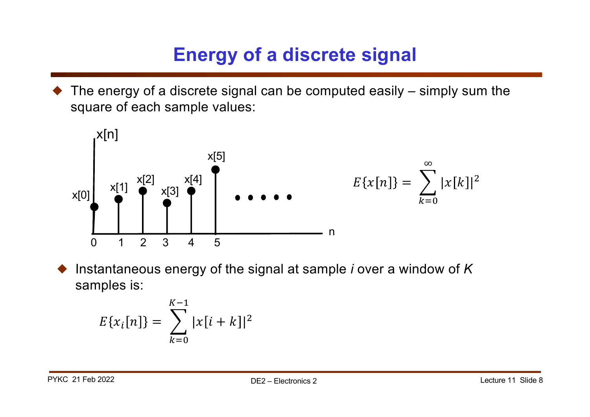# **Energy of a discrete signal**

The energy of a discrete signal can be computed easily – simply sum the square of each sample values:



! Instantaneous energy of the signal at sample *i* over a window of *K* samples is:

$$
E\{x_i[n]\} = \sum_{k=0}^{K-1} |x[i+k]|^2
$$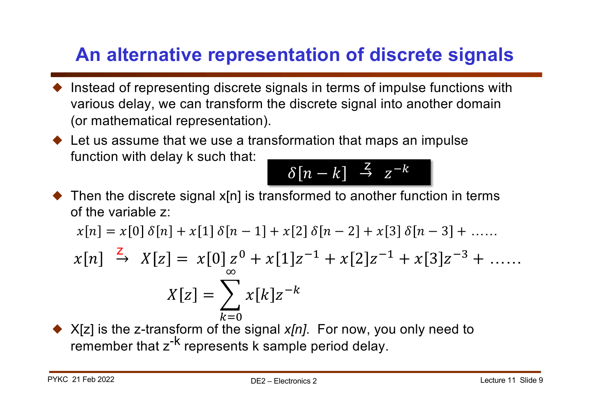# **An alternative representation of discrete signals**

- $\blacklozenge$  Instead of representing discrete signals in terms of impulse functions with various delay, we can transform the discrete signal into another domain (or mathematical representation).
- $\blacklozenge$  Let us assume that we use a transformation that maps an impulse function with delay k such that:

$$
\delta[n-k] \stackrel{Z}{\to} z^{-k}
$$

 $\blacklozenge$  Then the discrete signal x[n] is transformed to another function in terms of the variable z:

$$
x[n] = x[0]\delta[n] + x[1]\delta[n-1] + x[2]\delta[n-2] + x[3]\delta[n-3] + \dots
$$

$$
x[n] \stackrel{Z}{\rightarrow} X[z] = x[0]z^{0} + x[1]z^{-1} + x[2]z^{-1} + x[3]z^{-3} + \dots
$$

$$
X[z] = \sum_{k=0}^{\infty} x[k]z^{-k}
$$

! X[z] is the z-transform of the signal *x[n]*. For now, you only need to remember that  $z^{-k}$  represents k sample period delay.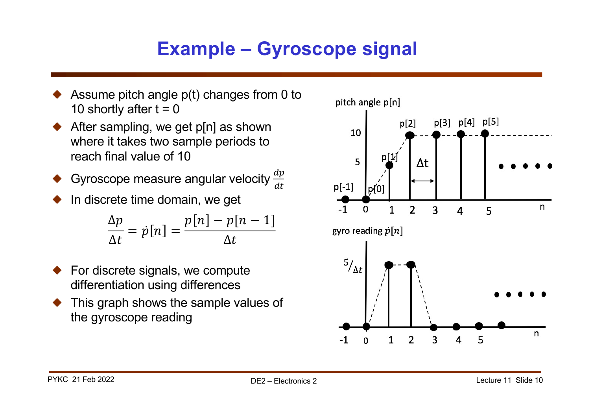# **Example – Gyroscope signal**

- Assume pitch angle p(t) changes from 0 to 10 shortly after  $t = 0$
- After sampling, we get p[n] as shown where it takes two sample periods to reach final value of 10

• Gyroscope measure angular velocity 
$$
\frac{dp}{dt}
$$

In discrete time domain, we get

$$
\frac{\Delta p}{\Delta t} = \dot{p}[n] = \frac{p[n] - p[n-1]}{\Delta t}
$$

- ! For discrete signals, we compute differentiation using differences
- ! This graph shows the sample values of the gyroscope reading

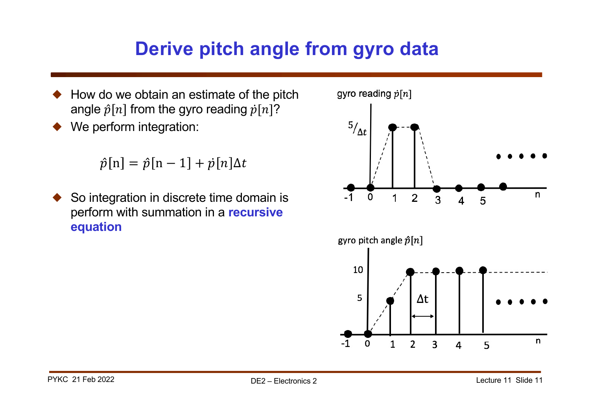### **Derive pitch angle from gyro data**

- ! How do we obtain an estimate of the pitch angle  $\hat{p}[n]$  from the gyro reading  $\hat{p}[n]$ ?
- We perform integration:

 $\hat{p}[n] = \hat{p}[n-1] + \hat{p}[n]\Delta t$ 

So integration in discrete time domain is perform with summation in a **recursive equation**

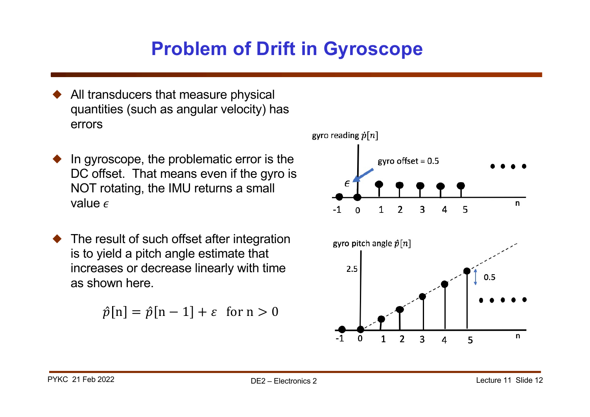# **Problem of Drift in Gyroscope**

- All transducers that measure physical quantities (such as angular velocity) has errors
- In gyroscope, the problematic error is the DC offset. That means even if the gyro is NOT rotating, the IMU returns a small value  $\epsilon$
- The result of such offset after integration is to yield a pitch angle estimate that increases or decrease linearly with time as shown here.

$$
\hat{p}[n] = \hat{p}[n-1] + \varepsilon \text{ for } n > 0
$$

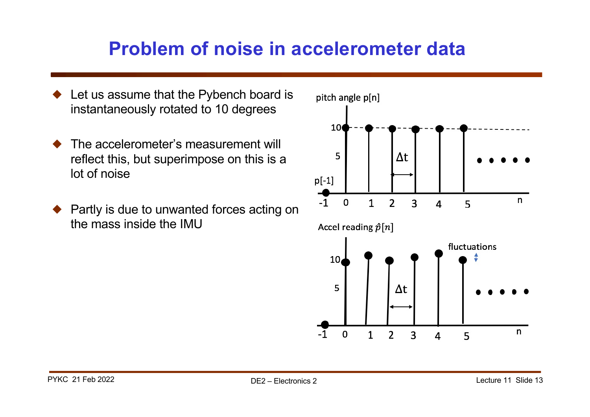#### **Problem of noise in accelerometer data**

- Let us assume that the Pybench board is instantaneously rotated to 10 degrees
- The accelerometer's measurement will reflect this, but superimpose on this is a lot of noise
- Partly is due to unwanted forces acting on the mass inside the IMU

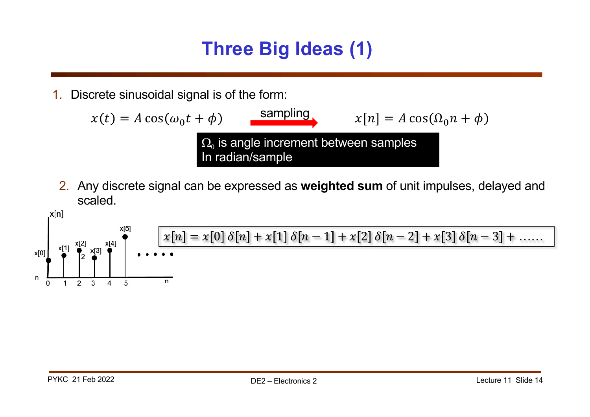## **Three Big Ideas (1)**

1. Discrete sinusoidal signal is of the form:

$$
x(t) = A \cos(\omega_0 t + \phi)
$$
  
\n
$$
\Omega_0
$$
 is angle increment between samples  
\nIn radian/sample

2. Any discrete signal can be expressed as **weighted sum** of unit impulses, delayed and scaled.